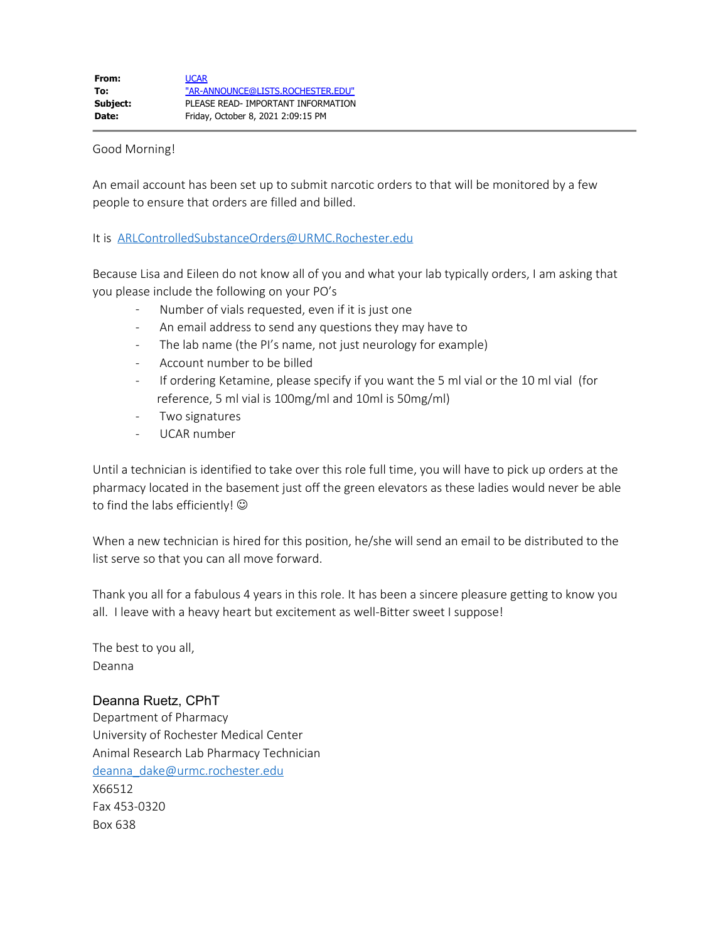## Good Morning!

An email account has been set up to submit narcotic orders to that will be monitored by a few people to ensure that orders are filled and billed.

## It is [ARLControlledSubstanceOrders@URMC.Rochester.edu](mailto:ARLControlledSubstanceOrders@URMC.Rochester.edu)

Because Lisa and Eileen do not know all of you and what your lab typically orders, I am asking that you please include the following on your PO's

- Number of vials requested, even if it is just one
- An email address to send any questions they may have to
- The lab name (the PI's name, not just neurology for example)
- Account number to be billed
- If ordering Ketamine, please specify if you want the 5 ml vial or the 10 ml vial (for reference, 5 ml vial is 100mg/ml and 10ml is 50mg/ml)
- Two signatures
- UCAR number

Until a technician is identified to take over this role full time, you will have to pick up orders at the pharmacy located in the basement just off the green elevators as these ladies would never be able to find the labs efficiently!  $\odot$ 

When a new technician is hired for this position, he/she will send an email to be distributed to the list serve so that you can all move forward.

Thank you all for a fabulous 4 years in this role. It has been a sincere pleasure getting to know you all. I leave with a heavy heart but excitement as well-Bitter sweet I suppose!

The best to you all, Deanna

## Deanna Ruetz, CPhT

Department of Pharmacy University of Rochester Medical Center Animal Research Lab Pharmacy Technician [deanna\\_dake@urmc.rochester.edu](mailto:deanna_dake@urmc.rochester.edu) X66512 Fax 453-0320 Box 638